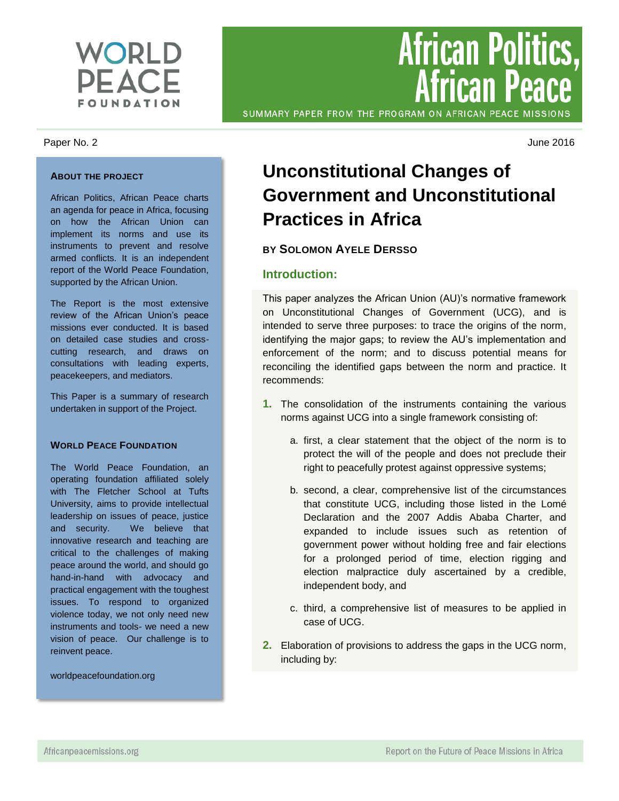

#### Paper No. 2 June 2016

#### **ABOUT THE PROJECT**

African Politics, African Peace charts an agenda for peace in Africa, focusing on how the African Union can implement its norms and use its instruments to prevent and resolve armed conflicts. It is an independent report of the World Peace Foundation, supported by the African Union.

The Report is the most extensive review of the African Union's peace missions ever conducted. It is based on detailed case studies and crosscutting research, and draws on consultations with leading experts, peacekeepers, and mediators.

This Paper is a summary of research undertaken in support of the Project.

#### **WORLD PEACE FOUNDATION**

The World Peace Foundation, an operating foundation affiliated solely with The Fletcher School at Tufts University, aims to provide intellectual leadership on issues of peace, justice and security. We believe that innovative research and teaching are critical to the challenges of making peace around the world, and should go hand-in-hand with advocacy and practical engagement with the toughest issues. To respond to organized violence today, we not only need new instruments and tools- we need a new vision of peace. Our challenge is to reinvent peace.

worldpeacefoundation.org

SUMMARY PAPER FROM THE PROGRAM ON AFRICAN PEACE MISSIONS

**African Politics,<br>African Peace** 

# **Unconstitutional Changes of Government and Unconstitutional Practices in Africa**

# **BY SOLOMON AYELE DERSSO**

## **Introduction:**

This paper analyzes the African Union (AU)'s normative framework on Unconstitutional Changes of Government (UCG), and is intended to serve three purposes: to trace the origins of the norm, identifying the major gaps; to review the AU's implementation and enforcement of the norm; and to discuss potential means for reconciling the identified gaps between the norm and practice. It recommends:

- **1.** The consolidation of the instruments containing the various norms against UCG into a single framework consisting of:
	- a. first, a clear statement that the object of the norm is to protect the will of the people and does not preclude their right to peacefully protest against oppressive systems;
	- b. second, a clear, comprehensive list of the circumstances that constitute UCG, including those listed in the Lomé Declaration and the 2007 Addis Ababa Charter, and expanded to include issues such as retention of government power without holding free and fair elections for a prolonged period of time, election rigging and election malpractice duly ascertained by a credible, independent body, and
	- c. third, a comprehensive list of measures to be applied in case of UCG.
- **2.** Elaboration of provisions to address the gaps in the UCG norm, including by: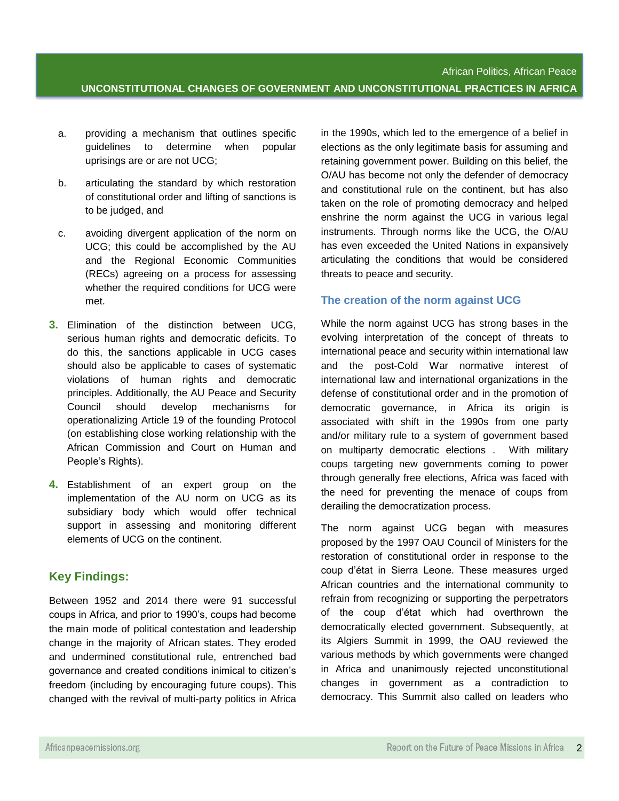- a. providing a mechanism that outlines specific guidelines to determine when popular uprisings are or are not UCG;
- b. articulating the standard by which restoration of constitutional order and lifting of sanctions is to be judged, and
- c. avoiding divergent application of the norm on UCG; this could be accomplished by the AU and the Regional Economic Communities (RECs) agreeing on a process for assessing whether the required conditions for UCG were met.
- **3.** Elimination of the distinction between UCG, serious human rights and democratic deficits. To do this, the sanctions applicable in UCG cases should also be applicable to cases of systematic violations of human rights and democratic principles. Additionally, the AU Peace and Security Council should develop mechanisms for operationalizing Article 19 of the founding Protocol (on establishing close working relationship with the African Commission and Court on Human and People's Rights).
- **4.** Establishment of an expert group on the implementation of the AU norm on UCG as its subsidiary body which would offer technical support in assessing and monitoring different elements of UCG on the continent.

# **Key Findings:**

Between 1952 and 2014 there were 91 successful coups in Africa, and prior to 1990's, coups had become the main mode of political contestation and leadership change in the majority of African states. They eroded and undermined constitutional rule, entrenched bad governance and created conditions inimical to citizen's freedom (including by encouraging future coups). This changed with the revival of multi-party politics in Africa

in the 1990s, which led to the emergence of a belief in elections as the only legitimate basis for assuming and retaining government power. Building on this belief, the O/AU has become not only the defender of democracy and constitutional rule on the continent, but has also taken on the role of promoting democracy and helped enshrine the norm against the UCG in various legal instruments. Through norms like the UCG, the O/AU has even exceeded the United Nations in expansively articulating the conditions that would be considered threats to peace and security.

# **The creation of the norm against UCG**

While the norm against UCG has strong bases in the evolving interpretation of the concept of threats to international peace and security within international law and the post-Cold War normative interest of international law and international organizations in the defense of constitutional order and in the promotion of democratic governance, in Africa its origin is associated with shift in the 1990s from one party and/or military rule to a system of government based on multiparty democratic elections . With military coups targeting new governments coming to power through generally free elections, Africa was faced with the need for preventing the menace of coups from derailing the democratization process.

The norm against UCG began with measures proposed by the 1997 OAU Council of Ministers for the restoration of constitutional order in response to the coup d'état in Sierra Leone. These measures urged African countries and the international community to refrain from recognizing or supporting the perpetrators of the coup d'état which had overthrown the democratically elected government. Subsequently, at its Algiers Summit in 1999, the OAU reviewed the various methods by which governments were changed in Africa and unanimously rejected unconstitutional changes in government as a contradiction to democracy. This Summit also called on leaders who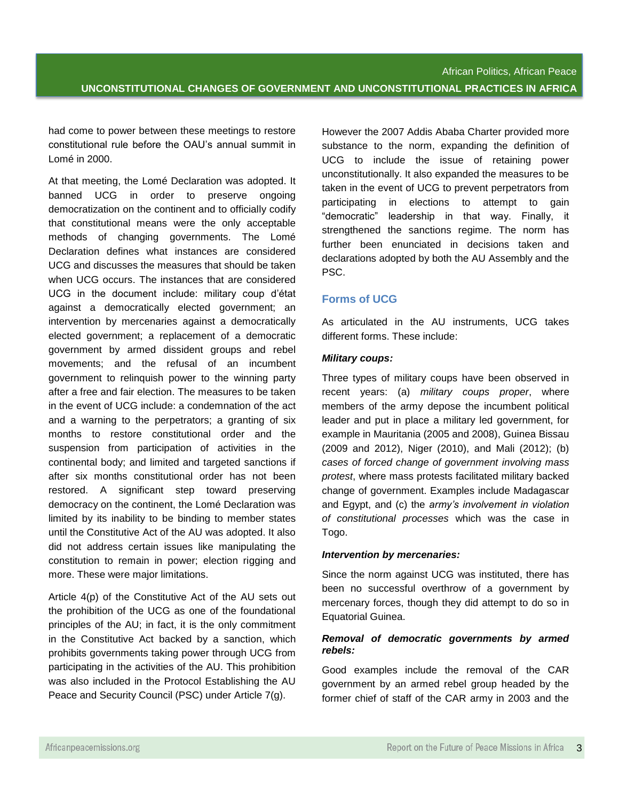had come to power between these meetings to restore constitutional rule before the OAU's annual summit in Lomé in 2000.

At that meeting, the Lomé Declaration was adopted. It banned UCG in order to preserve ongoing democratization on the continent and to officially codify that constitutional means were the only acceptable methods of changing governments. The Lomé Declaration defines what instances are considered UCG and discusses the measures that should be taken when UCG occurs. The instances that are considered UCG in the document include: military coup d'état against a democratically elected government; an intervention by mercenaries against a democratically elected government; a replacement of a democratic government by armed dissident groups and rebel movements; and the refusal of an incumbent government to relinquish power to the winning party after a free and fair election. The measures to be taken in the event of UCG include: a condemnation of the act and a warning to the perpetrators; a granting of six months to restore constitutional order and the suspension from participation of activities in the continental body; and limited and targeted sanctions if after six months constitutional order has not been restored. A significant step toward preserving democracy on the continent, the Lomé Declaration was limited by its inability to be binding to member states until the Constitutive Act of the AU was adopted. It also did not address certain issues like manipulating the constitution to remain in power; election rigging and more. These were major limitations.

Article 4(p) of the Constitutive Act of the AU sets out the prohibition of the UCG as one of the foundational principles of the AU; in fact, it is the only commitment in the Constitutive Act backed by a sanction, which prohibits governments taking power through UCG from participating in the activities of the AU. This prohibition was also included in the Protocol Establishing the AU Peace and Security Council (PSC) under Article 7(g).

However the 2007 Addis Ababa Charter provided more substance to the norm, expanding the definition of UCG to include the issue of retaining power unconstitutionally. It also expanded the measures to be taken in the event of UCG to prevent perpetrators from participating in elections to attempt to gain "democratic" leadership in that way. Finally, it strengthened the sanctions regime. The norm has further been enunciated in decisions taken and declarations adopted by both the AU Assembly and the PSC.

## **Forms of UCG**

As articulated in the AU instruments, UCG takes different forms. These include:

#### *Military coups:*

Three types of military coups have been observed in recent years: (a) *military coups proper*, where members of the army depose the incumbent political leader and put in place a military led government, for example in Mauritania (2005 and 2008), Guinea Bissau (2009 and 2012), Niger (2010), and Mali (2012); (b) *cases of forced change of government involving mass protest*, where mass protests facilitated military backed change of government. Examples include Madagascar and Egypt, and (c) the *army's involvement in violation of constitutional processes* which was the case in Togo.

#### *Intervention by mercenaries:*

Since the norm against UCG was instituted, there has been no successful overthrow of a government by mercenary forces, though they did attempt to do so in Equatorial Guinea.

## *Removal of democratic governments by armed rebels:*

Good examples include the removal of the CAR government by an armed rebel group headed by the former chief of staff of the CAR army in 2003 and the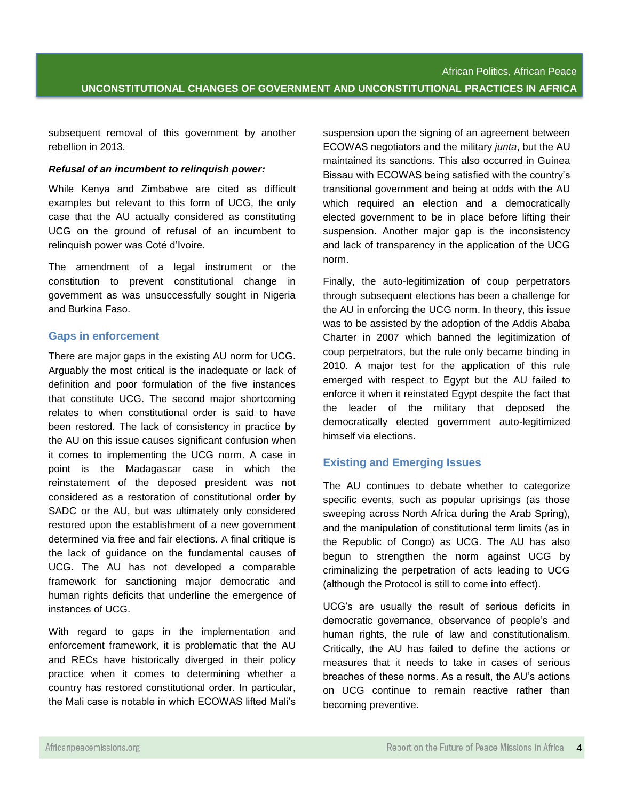subsequent removal of this government by another rebellion in 2013.

## *Refusal of an incumbent to relinquish power:*

While Kenya and Zimbabwe are cited as difficult examples but relevant to this form of UCG, the only case that the AU actually considered as constituting UCG on the ground of refusal of an incumbent to relinquish power was Coté d'Ivoire.

The amendment of a legal instrument or the constitution to prevent constitutional change in government as was unsuccessfully sought in Nigeria and Burkina Faso.

## **Gaps in enforcement**

There are major gaps in the existing AU norm for UCG. Arguably the most critical is the inadequate or lack of definition and poor formulation of the five instances that constitute UCG. The second major shortcoming relates to when constitutional order is said to have been restored. The lack of consistency in practice by the AU on this issue causes significant confusion when it comes to implementing the UCG norm. A case in point is the Madagascar case in which the reinstatement of the deposed president was not considered as a restoration of constitutional order by SADC or the AU, but was ultimately only considered restored upon the establishment of a new government determined via free and fair elections. A final critique is the lack of guidance on the fundamental causes of UCG. The AU has not developed a comparable framework for sanctioning major democratic and human rights deficits that underline the emergence of instances of UCG.

With regard to gaps in the implementation and enforcement framework, it is problematic that the AU and RECs have historically diverged in their policy practice when it comes to determining whether a country has restored constitutional order. In particular, the Mali case is notable in which ECOWAS lifted Mali's

suspension upon the signing of an agreement between ECOWAS negotiators and the military *junta*, but the AU maintained its sanctions. This also occurred in Guinea Bissau with ECOWAS being satisfied with the country's transitional government and being at odds with the AU which required an election and a democratically elected government to be in place before lifting their suspension. Another major gap is the inconsistency and lack of transparency in the application of the UCG norm.

Finally, the auto-legitimization of coup perpetrators through subsequent elections has been a challenge for the AU in enforcing the UCG norm. In theory, this issue was to be assisted by the adoption of the Addis Ababa Charter in 2007 which banned the legitimization of coup perpetrators, but the rule only became binding in 2010. A major test for the application of this rule emerged with respect to Egypt but the AU failed to enforce it when it reinstated Egypt despite the fact that the leader of the military that deposed the democratically elected government auto-legitimized himself via elections.

# **Existing and Emerging Issues**

The AU continues to debate whether to categorize specific events, such as popular uprisings (as those sweeping across North Africa during the Arab Spring), and the manipulation of constitutional term limits (as in the Republic of Congo) as UCG. The AU has also begun to strengthen the norm against UCG by criminalizing the perpetration of acts leading to UCG (although the Protocol is still to come into effect).

UCG's are usually the result of serious deficits in democratic governance, observance of people's and human rights, the rule of law and constitutionalism. Critically, the AU has failed to define the actions or measures that it needs to take in cases of serious breaches of these norms. As a result, the AU's actions on UCG continue to remain reactive rather than becoming preventive.